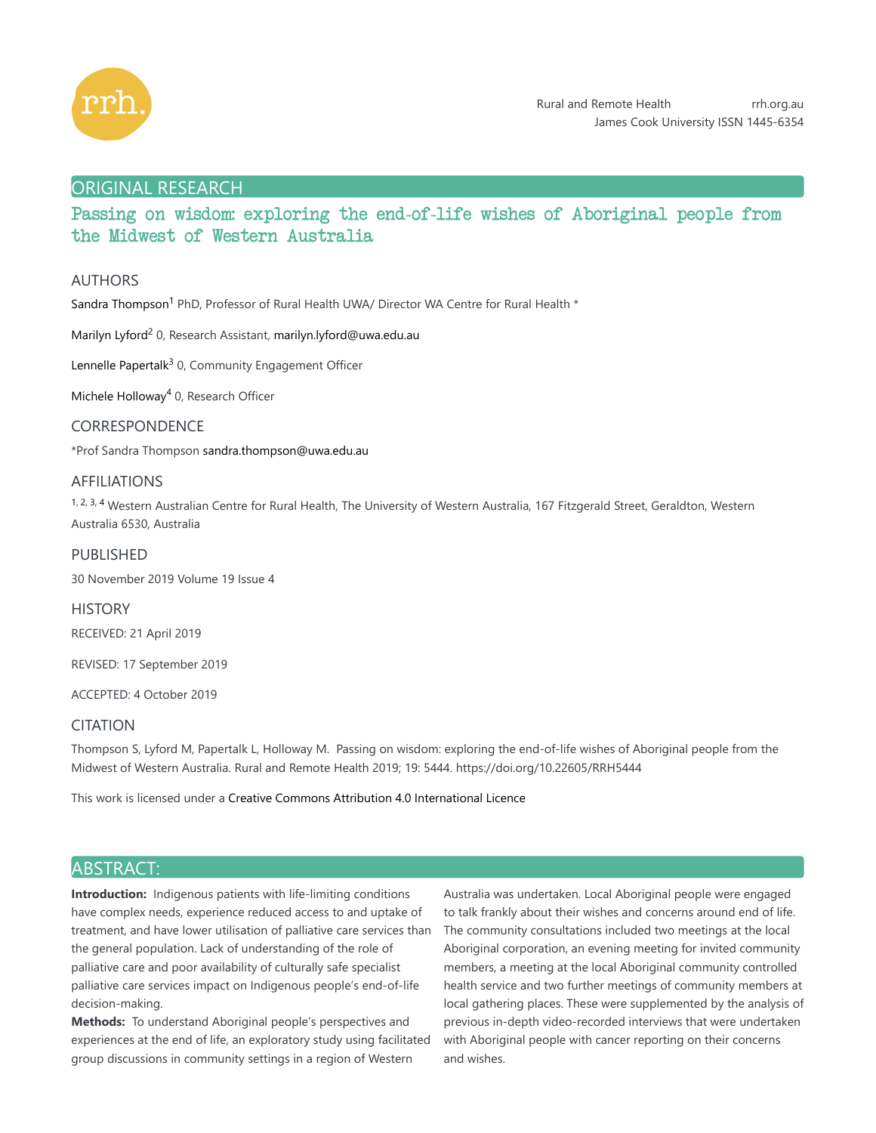

# ORIGINAL RESEARCH

# Passing on wisdom: exploring the end-of-life wishes of Aboriginal people from the Midwest of Western Australia

# AUTHORS

Sandra Thompson<sup>1</sup> PhD, Professor of Rural Health UWA/ Director WA Centre for Rural Health \*

Marilyn Lyford<sup>2</sup> 0, Research Assistant, marilyn.lyford@uwa.edu.au

Lennelle Papertalk<sup>3</sup> 0, Community Engagement Officer

Michele Holloway<sup>4</sup> 0, Research Officer

# CORRESPONDENCE

\*Prof Sandra Thompson sandra.thompson@uwa.edu.au

## AFFILIATIONS

1, 2, 3, 4 Western Australian Centre for Rural Health, The University of Western Australia, 167 Fitzgerald Street, Geraldton, Western Australia 6530, Australia

# PUBLISHED

30 November 2019 Volume 19 Issue 4

**HISTORY** RECEIVED: 21 April 2019

REVISED: 17 September 2019

ACCEPTED: 4 October 2019

## **CITATION**

Thompson S, Lyford M, Papertalk L, Holloway M. Passing on wisdom: exploring the end-of-life wishes of Aboriginal people from the Midwest of Western Australia. Rural and Remote Health 2019; 19: 5444. https://doi.org/10.22605/RRH5444

This work is licensed under a Creative Commons Attribution 4.0 International Licence

# ABSTRACT:

**Introduction:** Indigenous patients with life-limiting conditions have complex needs, experience reduced access to and uptake of treatment, and have lower utilisation of palliative care services than the general population. Lack of understanding of the role of palliative care and poor availability of culturally safe specialist palliative care services impact on Indigenous people's end-of-life decision-making.

**Methods:** To understand Aboriginal people's perspectives and experiences at the end of life, an exploratory study using facilitated group discussions in community settings in a region of Western

Australia was undertaken. Local Aboriginal people were engaged to talk frankly about their wishes and concerns around end of life. The community consultations included two meetings at the local Aboriginal corporation, an evening meeting for invited community members, a meeting at the local Aboriginal community controlled health service and two further meetings of community members at local gathering places. These were supplemented by the analysis of previous in-depth video-recorded interviews that were undertaken with Aboriginal people with cancer reporting on their concerns and wishes.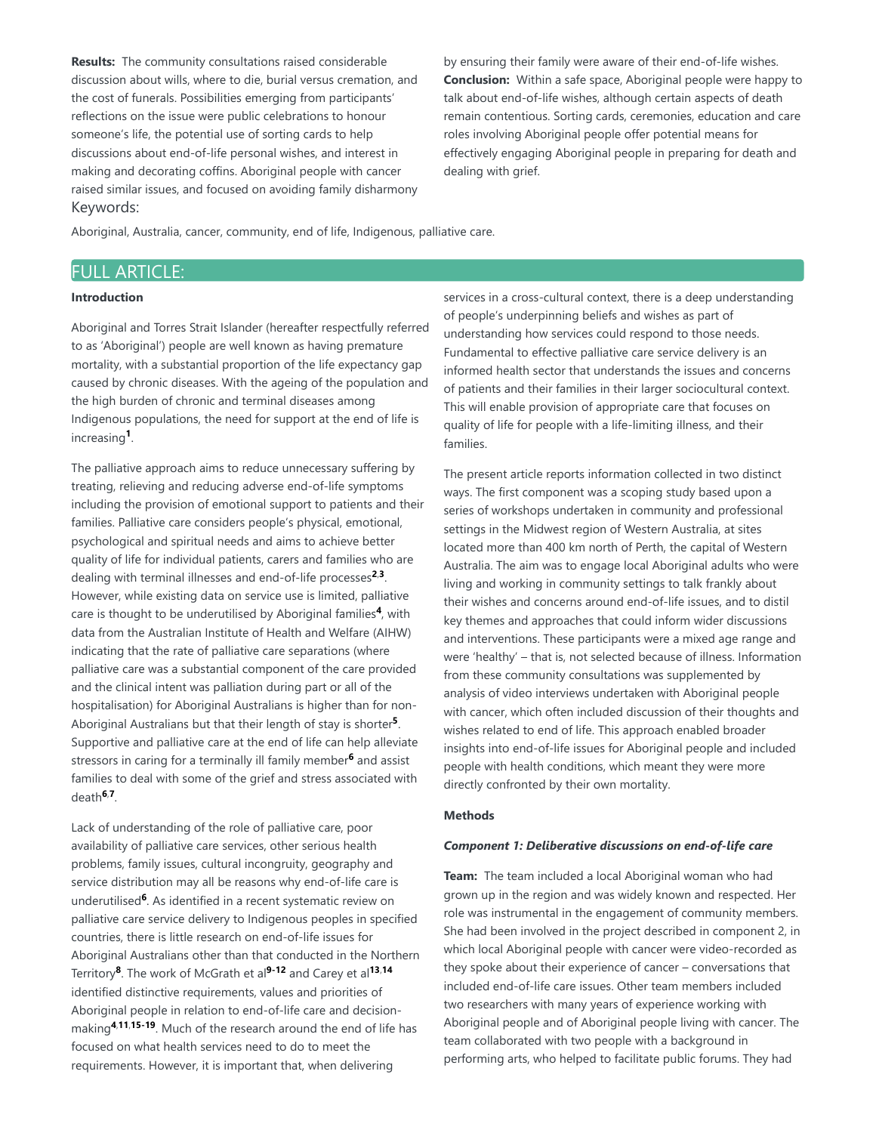**Results:** The community consultations raised considerable discussion about wills, where to die, burial versus cremation, and the cost of funerals. Possibilities emerging from participants' reflections on the issue were public celebrations to honour someone's life, the potential use of sorting cards to help discussions about end-of-life personal wishes, and interest in making and decorating coffins. Aboriginal people with cancer raised similar issues, and focused on avoiding family disharmony Keywords:

by ensuring their family were aware of their end-of-life wishes. **Conclusion:** Within a safe space, Aboriginal people were happy to talk about end-of-life wishes, although certain aspects of death remain contentious. Sorting cards, ceremonies, education and care roles involving Aboriginal people offer potential means for effectively engaging Aboriginal people in preparing for death and dealing with grief.

Aboriginal, Australia, cancer, community, end of life, Indigenous, palliative care.

# FULL ARTICLE:

#### **Introduction**

Aboriginal and Torres Strait Islander (hereafter respectfully referred to as 'Aboriginal') people are well known as having premature mortality, with a substantial proportion of the life expectancy gap caused by chronic diseases. With the ageing of the population and the high burden of chronic and terminal diseases among Indigenous populations, the need for support at the end of life is increasing<sup>1</sup>.

The palliative approach aims to reduce unnecessary suffering by treating, relieving and reducing adverse end-of-life symptoms including the provision of emotional support to patients and their families. Palliative care considers people's physical, emotional, psychological and spiritual needs and aims to achieve better quality of life for individual patients, carers and families who are dealing with terminal illnesses and end-of-life processes<sup>2,3</sup>. However, while existing data on service use is limited, palliative care is thought to be underutilised by Aboriginal families<sup>4</sup>, with data from the Australian Institute of Health and Welfare (AIHW) indicating that the rate of palliative care separations (where palliative care was a substantial component of the care provided and the clinical intent was palliation during part or all of the hospitalisation) for Aboriginal Australians is higher than for non-Aboriginal Australians but that their length of stay is shorter<sup>5</sup>. Supportive and palliative care at the end of life can help alleviate stressors in caring for a terminally ill family member<sup>6</sup> and assist families to deal with some of the grief and stress associated with death<sup>6,7</sup>.

Lack of understanding of the role of palliative care, poor availability of palliative care services, other serious health problems, family issues, cultural incongruity, geography and service distribution may all be reasons why end-of-life care is underutilised<sup>6</sup>. As identified in a recent systematic review on palliative care service delivery to Indigenous peoples in specified countries, there is little research on end-of-life issues for Aboriginal Australians other than that conducted in the Northern Territory<sup>8</sup>. The work of McGrath et al<sup>9-12</sup> and Carey et al<sup>13,14</sup> identified distinctive requirements, values and priorities of Aboriginal people in relation to end-of-life care and decisionmaking<sup>4,11,15-19. Much of the research around the end of life has</sup> focused on what health services need to do to meet the requirements. However, it is important that, when delivering

services in a cross-cultural context, there is a deep understanding of people's underpinning beliefs and wishes as part of understanding how services could respond to those needs. Fundamental to effective palliative care service delivery is an informed health sector that understands the issues and concerns of patients and their families in their larger sociocultural context. This will enable provision of appropriate care that focuses on quality of life for people with a life-limiting illness, and their families.

The present article reports information collected in two distinct ways. The first component was a scoping study based upon a series of workshops undertaken in community and professional settings in the Midwest region of Western Australia, at sites located more than 400 km north of Perth, the capital of Western Australia. The aim was to engage local Aboriginal adults who were living and working in community settings to talk frankly about their wishes and concerns around end-of-life issues, and to distil key themes and approaches that could inform wider discussions and interventions. These participants were a mixed age range and were 'healthy' – that is, not selected because of illness. Information from these community consultations was supplemented by analysis of video interviews undertaken with Aboriginal people with cancer, which often included discussion of their thoughts and wishes related to end of life. This approach enabled broader insights into end-of-life issues for Aboriginal people and included people with health conditions, which meant they were more directly confronted by their own mortality.

#### **Methods**

#### *Component 1: Deliberative discussions on end-of-life care*

**Team:** The team included a local Aboriginal woman who had grown up in the region and was widely known and respected. Her role was instrumental in the engagement of community members. She had been involved in the project described in component 2, in which local Aboriginal people with cancer were video-recorded as they spoke about their experience of cancer – conversations that included end-of-life care issues. Other team members included two researchers with many years of experience working with Aboriginal people and of Aboriginal people living with cancer. The team collaborated with two people with a background in performing arts, who helped to facilitate public forums. They had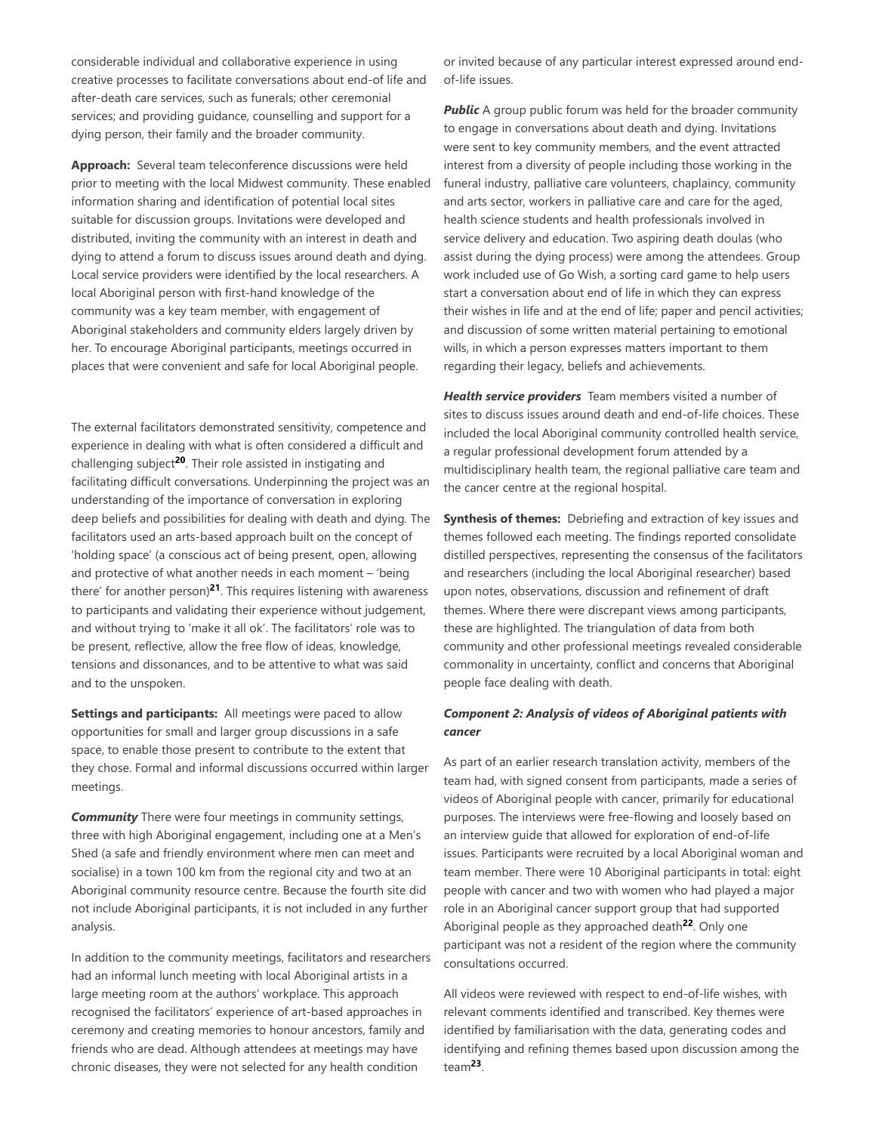considerable individual and collaborative experience in using creative processes to facilitate conversations about end-of life and after-death care services, such as funerals; other ceremonial services; and providing guidance, counselling and support for a dying person, their family and the broader community.

Approach: Several team teleconference discussions were held prior to meeting with the local Midwest community. These enabled information sharing and identification of potential local sites suitable for discussion groups. Invitations were developed and distributed, inviting the community with an interest in death and dying to attend a forum to discuss issues around death and dying. Local service providers were identified by the local researchers. A local Aboriginal person with first-hand knowledge of the community was a key team member, with engagement of Aboriginal stakeholders and community elders largely driven by her. To encourage Aboriginal participants, meetings occurred in places that were convenient and safe for local Aboriginal people.

The external facilitators demonstrated sensitivity, competence and experience in dealing with what is often considered a difficult and challenging subject<sup>20</sup>. Their role assisted in instigating and facilitating difficult conversations. Underpinning the project was an understanding of the importance of conversation in exploring deep beliefs and possibilities for dealing with death and dying. The facilitators used an arts-based approach built on the concept of 'holding space' (a conscious act of being present, open, allowing and protective of what another needs in each moment – 'being there' for another person)<sup>21</sup>. This requires listening with awareness to participants and validating their experience without judgement, and without trying to 'make it all ok'. The facilitators' role was to be present, reflective, allow the free flow of ideas, knowledge, tensions and dissonances, and to be attentive to what was said and to the unspoken.

Settings and participants: All meetings were paced to allow opportunities for small and larger group discussions in a safe space, to enable those present to contribute to the extent that they chose. Formal and informal discussions occurred within larger meetings.

*Community* There were four meetings in community settings, three with high Aboriginal engagement, including one at a Men's Shed (a safe and friendly environment where men can meet and socialise) in a town 100 km from the regional city and two at an Aboriginal community resource centre. Because the fourth site did not include Aboriginal participants, it is not included in any further analysis.

In addition to the community meetings, facilitators and researchers had an informal lunch meeting with local Aboriginal artists in a large meeting room at the authors' workplace. This approach recognised the facilitators' experience of art-based approaches in ceremony and creating memories to honour ancestors, family and friends who are dead. Although attendees at meetings may have chronic diseases, they were not selected for any health condition

or invited because of any particular interest expressed around endof-life issues.

**Public** A group public forum was held for the broader community to engage in conversations about death and dying. Invitations were sent to key community members, and the event attracted interest from a diversity of people including those working in the funeral industry, palliative care volunteers, chaplaincy, community and arts sector, workers in palliative care and care for the aged, health science students and health professionals involved in service delivery and education. Two aspiring death doulas (who assist during the dying process) were among the attendees. Group work included use of Go Wish, a sorting card game to help users start a conversation about end of life in which they can express their wishes in life and at the end of life; paper and pencil activities; and discussion of some written material pertaining to emotional wills, in which a person expresses matters important to them regarding their legacy, beliefs and achievements.

*Health service providers* Team members visited a number of sites to discuss issues around death and end-of-life choices. These included the local Aboriginal community controlled health service, a regular professional development forum attended by a multidisciplinary health team, the regional palliative care team and the cancer centre at the regional hospital.

**Synthesis of themes:** Debriefing and extraction of key issues and themes followed each meeting. The findings reported consolidate distilled perspectives, representing the consensus of the facilitators and researchers (including the local Aboriginal researcher) based upon notes, observations, discussion and refinement of draft themes. Where there were discrepant views among participants, these are highlighted. The triangulation of data from both community and other professional meetings revealed considerable commonality in uncertainty, conflict and concerns that Aboriginal people face dealing with death.

# *Component 2: Analysis of videos of Aboriginal patients with cancer*

As part of an earlier research translation activity, members of the team had, with signed consent from participants, made a series of videos of Aboriginal people with cancer, primarily for educational purposes. The interviews were free-flowing and loosely based on an interview guide that allowed for exploration of end-of-life issues. Participants were recruited by a local Aboriginal woman and team member. There were 10 Aboriginal participants in total: eight people with cancer and two with women who had played a major role in an Aboriginal cancer support group that had supported Aboriginal people as they approached death<sup>22</sup>. Only one participant was not a resident of the region where the community consultations occurred.

All videos were reviewed with respect to end-of-life wishes, with relevant comments identified and transcribed. Key themes were identified by familiarisation with the data, generating codes and identifying and refining themes based upon discussion among the team<sup>23</sup>.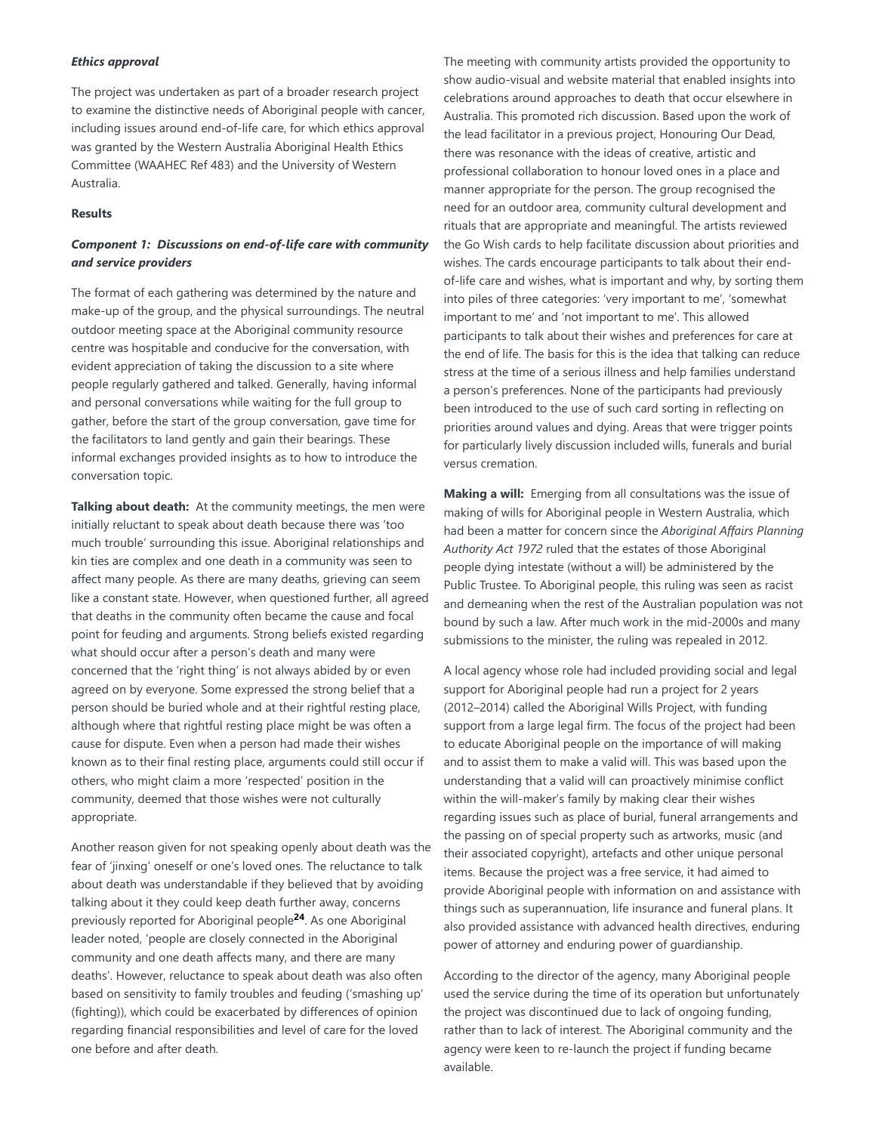#### *Ethics approval*

The project was undertaken as part of a broader research project to examine the distinctive needs of Aboriginal people with cancer, including issues around end-of-life care, for which ethics approval was granted by the Western Australia Aboriginal Health Ethics Committee (WAAHEC Ref 483) and the University of Western Australia.

# **Results**

# *Component 1: Discussions on end-of-life care with community and service providers*

The format of each gathering was determined by the nature and make-up of the group, and the physical surroundings. The neutral outdoor meeting space at the Aboriginal community resource centre was hospitable and conducive for the conversation, with evident appreciation of taking the discussion to a site where people regularly gathered and talked. Generally, having informal and personal conversations while waiting for the full group to gather, before the start of the group conversation, gave time for the facilitators to land gently and gain their bearings. These informal exchanges provided insights as to how to introduce the conversation topic.

Talking about death: At the community meetings, the men were initially reluctant to speak about death because there was 'too much trouble' surrounding this issue. Aboriginal relationships and kin ties are complex and one death in a community was seen to affect many people. As there are many deaths, grieving can seem like a constant state. However, when questioned further, all agreed that deaths in the community often became the cause and focal point for feuding and arguments. Strong beliefs existed regarding what should occur after a person's death and many were concerned that the 'right thing' is not always abided by or even agreed on by everyone. Some expressed the strong belief that a person should be buried whole and at their rightful resting place, although where that rightful resting place might be was often a cause for dispute. Even when a person had made their wishes known as to their final resting place, arguments could still occur if others, who might claim a more 'respected' position in the community, deemed that those wishes were not culturally appropriate.

Another reason given for not speaking openly about death was the fear of 'jinxing' oneself or one's loved ones. The reluctance to talk about death was understandable if they believed that by avoiding talking about it they could keep death further away, concerns previously reported for Aboriginal people<sup>24</sup>. As one Aboriginal leader noted, 'people are closely connected in the Aboriginal community and one death affects many, and there are many deaths'. However, reluctance to speak about death was also often based on sensitivity to family troubles and feuding ('smashing up' (fighting)), which could be exacerbated by differences of opinion regarding financial responsibilities and level of care for the loved one before and after death.

The meeting with community artists provided the opportunity to show audio-visual and website material that enabled insights into celebrations around approaches to death that occur elsewhere in Australia. This promoted rich discussion. Based upon the work of the lead facilitator in a previous project, Honouring Our Dead, there was resonance with the ideas of creative, artistic and professional collaboration to honour loved ones in a place and manner appropriate for the person. The group recognised the need for an outdoor area, community cultural development and rituals that are appropriate and meaningful. The artists reviewed the Go Wish cards to help facilitate discussion about priorities and wishes. The cards encourage participants to talk about their endof-life care and wishes, what is important and why, by sorting them into piles of three categories: 'very important to me', 'somewhat important to me' and 'not important to me'. This allowed participants to talk about their wishes and preferences for care at the end of life. The basis for this is the idea that talking can reduce stress at the time of a serious illness and help families understand a person's preferences. None of the participants had previously been introduced to the use of such card sorting in reflecting on priorities around values and dying. Areas that were trigger points for particularly lively discussion included wills, funerals and burial versus cremation.

**Making a will:** Emerging from all consultations was the issue of making of wills for Aboriginal people in Western Australia, which had been a matter for concern since the *Aboriginal Affairs Planning Authority Act 1972* ruled that the estates of those Aboriginal people dying intestate (without a will) be administered by the Public Trustee. To Aboriginal people, this ruling was seen as racist and demeaning when the rest of the Australian population was not bound by such a law. After much work in the mid-2000s and many submissions to the minister, the ruling was repealed in 2012.

A local agency whose role had included providing social and legal support for Aboriginal people had run a project for 2 years (2012–2014) called the Aboriginal Wills Project, with funding support from a large legal firm. The focus of the project had been to educate Aboriginal people on the importance of will making and to assist them to make a valid will. This was based upon the understanding that a valid will can proactively minimise conflict within the will-maker's family by making clear their wishes regarding issues such as place of burial, funeral arrangements and the passing on of special property such as artworks, music (and their associated copyright), artefacts and other unique personal items. Because the project was a free service, it had aimed to provide Aboriginal people with information on and assistance with things such as superannuation, life insurance and funeral plans. It also provided assistance with advanced health directives, enduring power of attorney and enduring power of guardianship.

According to the director of the agency, many Aboriginal people used the service during the time of its operation but unfortunately the project was discontinued due to lack of ongoing funding, rather than to lack of interest. The Aboriginal community and the agency were keen to re-launch the project if funding became available.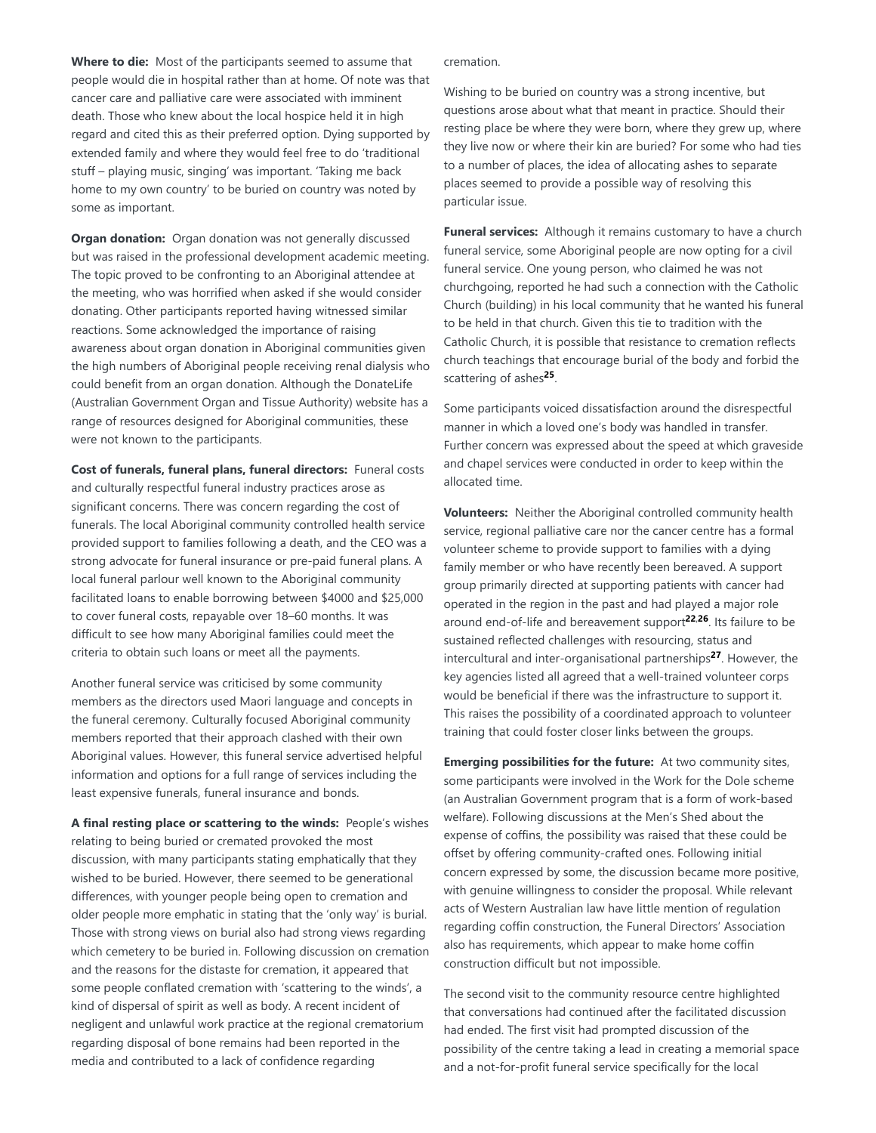Where to die: Most of the participants seemed to assume that people would die in hospital rather than at home. Of note was that cancer care and palliative care were associated with imminent death. Those who knew about the local hospice held it in high regard and cited this as their preferred option. Dying supported by extended family and where they would feel free to do 'traditional stuff – playing music, singing' was important. 'Taking me back home to my own country' to be buried on country was noted by some as important.

**Organ donation:** Organ donation was not generally discussed but was raised in the professional development academic meeting. The topic proved to be confronting to an Aboriginal attendee at the meeting, who was horrified when asked if she would consider donating. Other participants reported having witnessed similar reactions. Some acknowledged the importance of raising awareness about organ donation in Aboriginal communities given the high numbers of Aboriginal people receiving renal dialysis who could benefit from an organ donation. Although the DonateLife (Australian Government Organ and Tissue Authority) website has a range of resources designed for Aboriginal communities, these were not known to the participants.

**Cost of funerals, funeral plans, funeral directors:** Funeral costs and culturally respectful funeral industry practices arose as significant concerns. There was concern regarding the cost of funerals. The local Aboriginal community controlled health service provided support to families following a death, and the CEO was a strong advocate for funeral insurance or pre-paid funeral plans. A local funeral parlour well known to the Aboriginal community facilitated loans to enable borrowing between \$4000 and \$25,000 to cover funeral costs, repayable over 18–60 months. It was difficult to see how many Aboriginal families could meet the criteria to obtain such loans or meet all the payments.

Another funeral service was criticised by some community members as the directors used Maori language and concepts in the funeral ceremony. Culturally focused Aboriginal community members reported that their approach clashed with their own Aboriginal values. However, this funeral service advertised helpful information and options for a full range of services including the least expensive funerals, funeral insurance and bonds.

A final resting place or scattering to the winds: People's wishes relating to being buried or cremated provoked the most discussion, with many participants stating emphatically that they wished to be buried. However, there seemed to be generational differences, with younger people being open to cremation and older people more emphatic in stating that the 'only way' is burial. Those with strong views on burial also had strong views regarding which cemetery to be buried in. Following discussion on cremation and the reasons for the distaste for cremation, it appeared that some people conflated cremation with 'scattering to the winds', a kind of dispersal of spirit as well as body. A recent incident of negligent and unlawful work practice at the regional crematorium regarding disposal of bone remains had been reported in the media and contributed to a lack of confidence regarding

cremation.

Wishing to be buried on country was a strong incentive, but questions arose about what that meant in practice. Should their resting place be where they were born, where they grew up, where they live now or where their kin are buried? For some who had ties to a number of places, the idea of allocating ashes to separate places seemed to provide a possible way of resolving this particular issue.

Funeral services: Although it remains customary to have a church funeral service, some Aboriginal people are now opting for a civil funeral service. One young person, who claimed he was not churchgoing, reported he had such a connection with the Catholic Church (building) in his local community that he wanted his funeral to be held in that church. Given this tie to tradition with the Catholic Church, it is possible that resistance to cremation reflects church teachings that encourage burial of the body and forbid the scattering of ashes<sup>25</sup>.

Some participants voiced dissatisfaction around the disrespectful manner in which a loved one's body was handled in transfer. Further concern was expressed about the speed at which graveside and chapel services were conducted in order to keep within the allocated time.

**Volunteers:** Neither the Aboriginal controlled community health service, regional palliative care nor the cancer centre has a formal volunteer scheme to provide support to families with a dying family member or who have recently been bereaved. A support group primarily directed at supporting patients with cancer had operated in the region in the past and had played a major role around end-of-life and bereavement support<sup>22,26</sup>. Its failure to be sustained reflected challenges with resourcing, status and intercultural and inter-organisational partnerships<sup>27</sup>. However, the key agencies listed all agreed that a well-trained volunteer corps would be beneficial if there was the infrastructure to support it. This raises the possibility of a coordinated approach to volunteer training that could foster closer links between the groups.

**Emerging possibilities for the future:** At two community sites, some participants were involved in the Work for the Dole scheme (an Australian Government program that is a form of work-based welfare). Following discussions at the Men's Shed about the expense of coffins, the possibility was raised that these could be offset by offering community-crafted ones. Following initial concern expressed by some, the discussion became more positive, with genuine willingness to consider the proposal. While relevant acts of Western Australian law have little mention of regulation regarding coffin construction, the Funeral Directors' Association also has requirements, which appear to make home coffin construction difficult but not impossible.

The second visit to the community resource centre highlighted that conversations had continued after the facilitated discussion had ended. The first visit had prompted discussion of the possibility of the centre taking a lead in creating a memorial space and a not-for-profit funeral service specifically for the local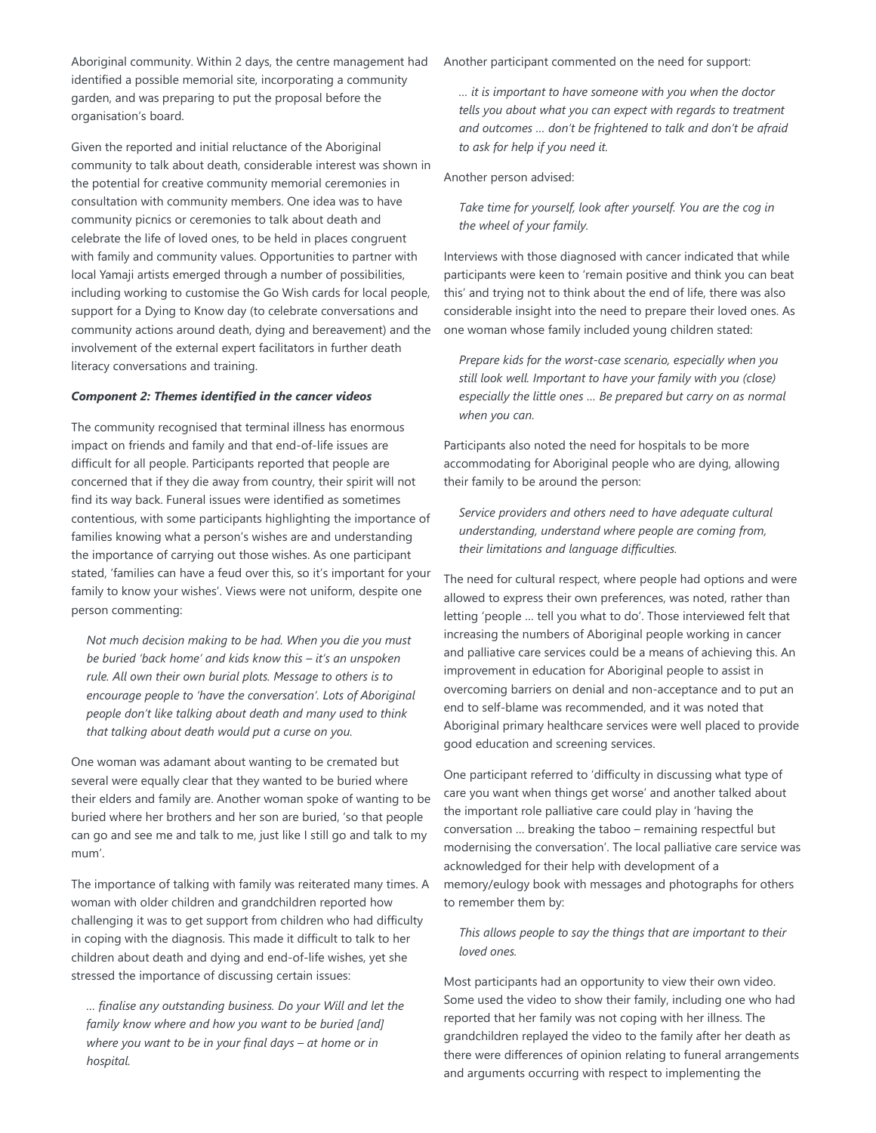Aboriginal community. Within 2 days, the centre management had identified a possible memorial site, incorporating a community garden, and was preparing to put the proposal before the organisation's board.

Given the reported and initial reluctance of the Aboriginal community to talk about death, considerable interest was shown in the potential for creative community memorial ceremonies in consultation with community members. One idea was to have community picnics or ceremonies to talk about death and celebrate the life of loved ones, to be held in places congruent with family and community values. Opportunities to partner with local Yamaji artists emerged through a number of possibilities, including working to customise the Go Wish cards for local people, support for a Dying to Know day (to celebrate conversations and community actions around death, dying and bereavement) and the involvement of the external expert facilitators in further death literacy conversations and training.

#### *Component 2: Themes identified in the cancer videos*

The community recognised that terminal illness has enormous impact on friends and family and that end-of-life issues are difficult for all people. Participants reported that people are concerned that if they die away from country, their spirit will not find its way back. Funeral issues were identified as sometimes contentious, with some participants highlighting the importance of families knowing what a person's wishes are and understanding the importance of carrying out those wishes. As one participant stated, 'families can have a feud over this, so it's important for your family to know your wishes'. Views were not uniform, despite one person commenting:

*Not much decision making to be had. When you die you must be buried 'back home' and kids know this – it's an unspoken rule. All own their own burial plots. Message to others is to encourage people to 'have the conversation'. Lots of Aboriginal people don't like talking about death and many used to think that talking about death would put a curse on you.*

One woman was adamant about wanting to be cremated but several were equally clear that they wanted to be buried where their elders and family are. Another woman spoke of wanting to be buried where her brothers and her son are buried, 'so that people can go and see me and talk to me, just like I still go and talk to my mum'.

The importance of talking with family was reiterated many times. A woman with older children and grandchildren reported how challenging it was to get support from children who had difficulty in coping with the diagnosis. This made it difficult to talk to her children about death and dying and end-of-life wishes, yet she stressed the importance of discussing certain issues:

*… finalise any outstanding business. Do your Will and let the family know where and how you want to be buried [and] where you want to be in your final days – at home or in hospital.*

Another participant commented on the need for support:

*… it is important to have someone with you when the doctor tells you about what you can expect with regards to treatment and outcomes … don't be frightened to talk and don't be afraid to ask for help if you need it.*

Another person advised:

*Take time for yourself, look after yourself. You are the cog in the wheel of your family.*

Interviews with those diagnosed with cancer indicated that while participants were keen to 'remain positive and think you can beat this' and trying not to think about the end of life, there was also considerable insight into the need to prepare their loved ones. As one woman whose family included young children stated:

*Prepare kids for the worst-case scenario, especially when you still look well. Important to have your family with you (close) especially the little ones … Be prepared but carry on as normal when you can.*

Participants also noted the need for hospitals to be more accommodating for Aboriginal people who are dying, allowing their family to be around the person:

*Service providers and others need to have adequate cultural understanding, understand where people are coming from, their limitations and language difficulties.*

The need for cultural respect, where people had options and were allowed to express their own preferences, was noted, rather than letting 'people … tell you what to do'. Those interviewed felt that increasing the numbers of Aboriginal people working in cancer and palliative care services could be a means of achieving this. An improvement in education for Aboriginal people to assist in overcoming barriers on denial and non-acceptance and to put an end to self-blame was recommended, and it was noted that Aboriginal primary healthcare services were well placed to provide good education and screening services.

One participant referred to 'difficulty in discussing what type of care you want when things get worse' and another talked about the important role palliative care could play in 'having the conversation … breaking the taboo – remaining respectful but modernising the conversation'. The local palliative care service was acknowledged for their help with development of a memory/eulogy book with messages and photographs for others to remember them by:

*This allows people to say the things that are important to their loved ones.*

Most participants had an opportunity to view their own video. Some used the video to show their family, including one who had reported that her family was not coping with her illness. The grandchildren replayed the video to the family after her death as there were differences of opinion relating to funeral arrangements and arguments occurring with respect to implementing the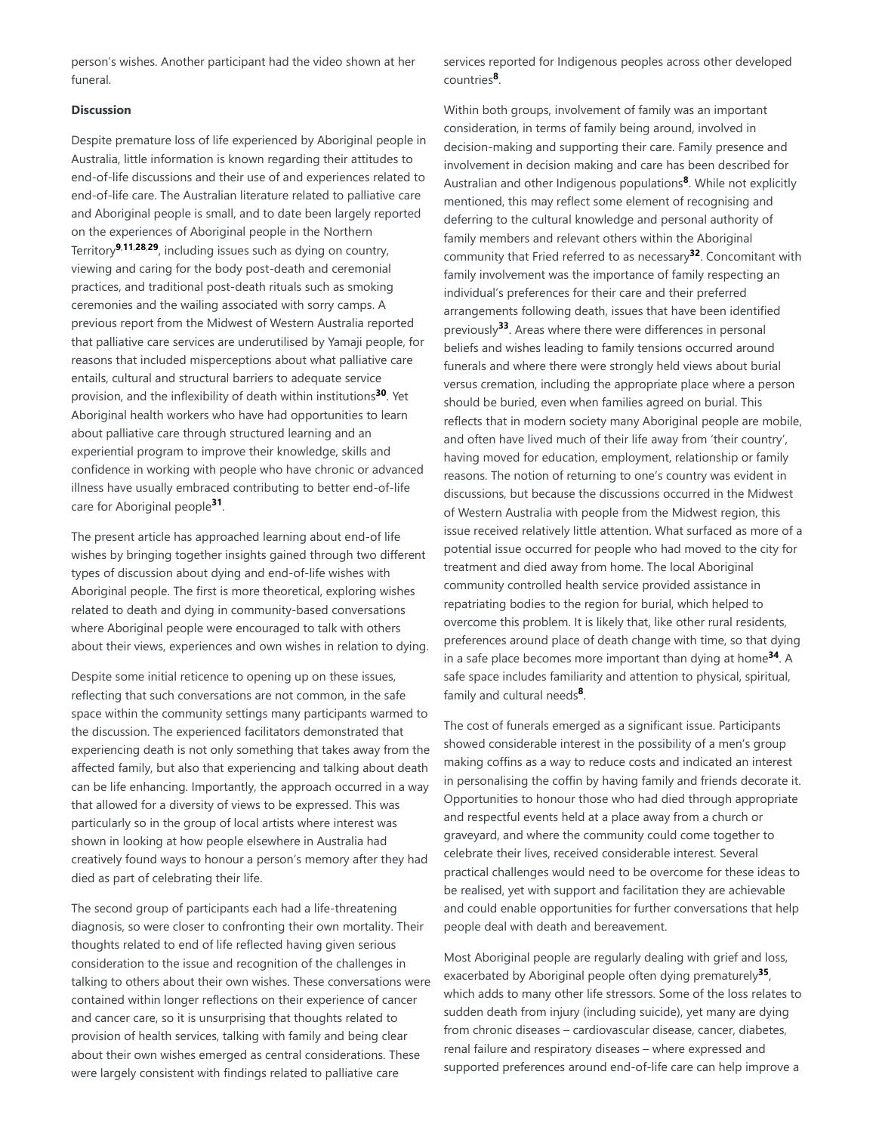person's wishes. Another participant had the video shown at her funeral.

### **Discussion**

Despite premature loss of life experienced by Aboriginal people in Australia, little information is known regarding their attitudes to end-of-life discussions and their use of and experiences related to end-of-life care. The Australian literature related to palliative care and Aboriginal people is small, and to date been largely reported on the experiences of Aboriginal people in the Northern Territory<sup>9,11,28,29</sup>, including issues such as dying on country, viewing and caring for the body post-death and ceremonial practices, and traditional post-death rituals such as smoking ceremonies and the wailing associated with sorry camps. A previous report from the Midwest of Western Australia reported that palliative care services are underutilised by Yamaji people, for reasons that included misperceptions about what palliative care entails, cultural and structural barriers to adequate service provision, and the inflexibility of death within institutions<sup>30</sup>. Yet Aboriginal health workers who have had opportunities to learn about palliative care through structured learning and an experiential program to improve their knowledge, skills and confidence in working with people who have chronic or advanced illness have usually embraced contributing to better end-of-life care for Aboriginal people<sup>31</sup>.

The present article has approached learning about end-of life wishes by bringing together insights gained through two different types of discussion about dying and end-of-life wishes with Aboriginal people. The first is more theoretical, exploring wishes related to death and dying in community-based conversations where Aboriginal people were encouraged to talk with others about their views, experiences and own wishes in relation to dying.

Despite some initial reticence to opening up on these issues, reflecting that such conversations are not common, in the safe space within the community settings many participants warmed to the discussion. The experienced facilitators demonstrated that experiencing death is not only something that takes away from the affected family, but also that experiencing and talking about death can be life enhancing. Importantly, the approach occurred in a way that allowed for a diversity of views to be expressed. This was particularly so in the group of local artists where interest was shown in looking at how people elsewhere in Australia had creatively found ways to honour a person's memory after they had died as part of celebrating their life.

The second group of participants each had a life-threatening diagnosis, so were closer to confronting their own mortality. Their thoughts related to end of life reflected having given serious consideration to the issue and recognition of the challenges in talking to others about their own wishes. These conversations were contained within longer reflections on their experience of cancer and cancer care, so it is unsurprising that thoughts related to provision of health services, talking with family and being clear about their own wishes emerged as central considerations. These were largely consistent with findings related to palliative care

services reported for Indigenous peoples across other developed countries<sup>8</sup>.

Within both groups, involvement of family was an important consideration, in terms of family being around, involved in decision-making and supporting their care. Family presence and involvement in decision making and care has been described for Australian and other Indigenous populations<sup>8</sup>. While not explicitly mentioned, this may reflect some element of recognising and deferring to the cultural knowledge and personal authority of family members and relevant others within the Aboriginal community that Fried referred to as necessary<sup>32</sup>. Concomitant with family involvement was the importance of family respecting an individual's preferences for their care and their preferred arrangements following death, issues that have been identified previously<sup>33</sup>. Areas where there were differences in personal beliefs and wishes leading to family tensions occurred around funerals and where there were strongly held views about burial versus cremation, including the appropriate place where a person should be buried, even when families agreed on burial. This reflects that in modern society many Aboriginal people are mobile, and often have lived much of their life away from 'their country', having moved for education, employment, relationship or family reasons. The notion of returning to one's country was evident in discussions, but because the discussions occurred in the Midwest of Western Australia with people from the Midwest region, this issue received relatively little attention. What surfaced as more of a potential issue occurred for people who had moved to the city for treatment and died away from home. The local Aboriginal community controlled health service provided assistance in repatriating bodies to the region for burial, which helped to overcome this problem. It is likely that, like other rural residents, preferences around place of death change with time, so that dying in a safe place becomes more important than dying at home<sup>34</sup>. A safe space includes familiarity and attention to physical, spiritual, family and cultural needs<sup>8</sup>.

The cost of funerals emerged as a significant issue. Participants showed considerable interest in the possibility of a men's group making coffins as a way to reduce costs and indicated an interest in personalising the coffin by having family and friends decorate it. Opportunities to honour those who had died through appropriate and respectful events held at a place away from a church or graveyard, and where the community could come together to celebrate their lives, received considerable interest. Several practical challenges would need to be overcome for these ideas to be realised, yet with support and facilitation they are achievable and could enable opportunities for further conversations that help people deal with death and bereavement.

Most Aboriginal people are regularly dealing with grief and loss, exacerbated by Aboriginal people often dying prematurely<sup>35</sup>, which adds to many other life stressors. Some of the loss relates to sudden death from injury (including suicide), yet many are dying from chronic diseases – cardiovascular disease, cancer, diabetes, renal failure and respiratory diseases – where expressed and supported preferences around end-of-life care can help improve a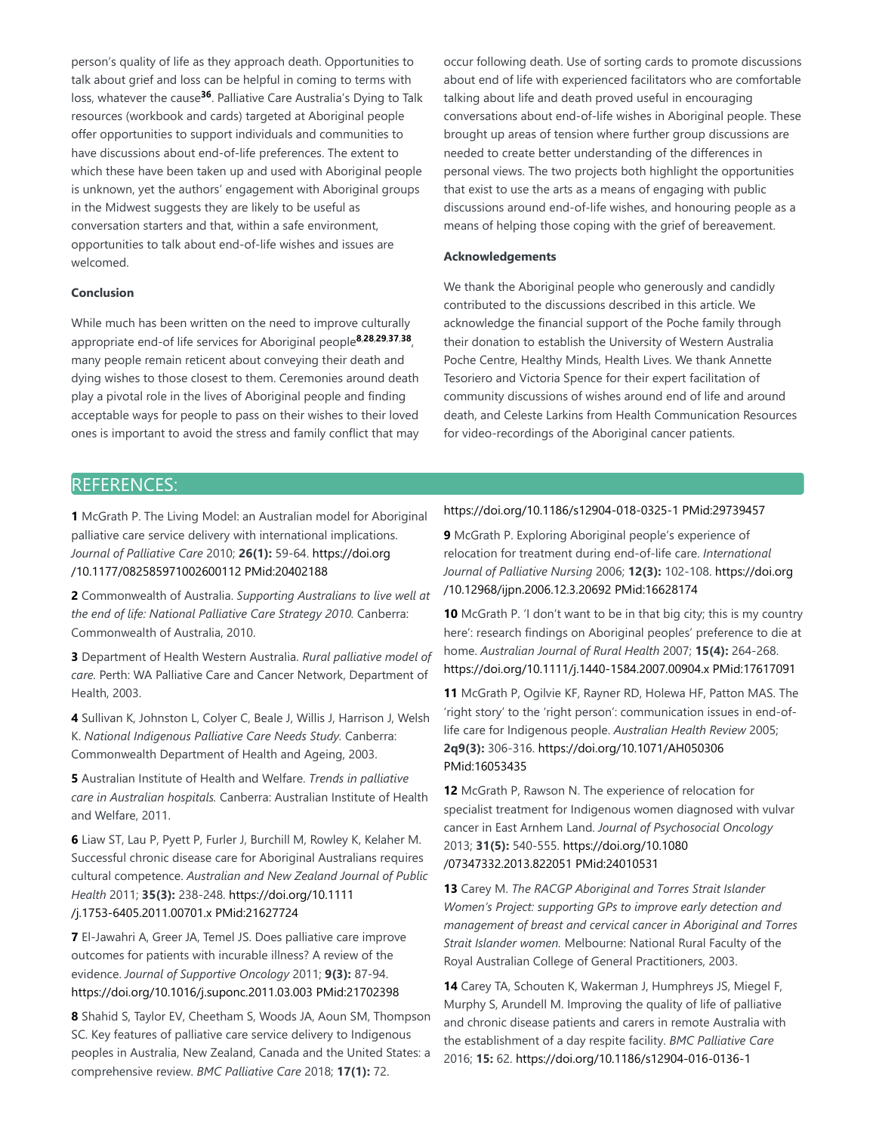person's quality of life as they approach death. Opportunities to talk about grief and loss can be helpful in coming to terms with loss, whatever the cause<sup>36</sup>. Palliative Care Australia's Dying to Talk resources (workbook and cards) targeted at Aboriginal people offer opportunities to support individuals and communities to have discussions about end-of-life preferences. The extent to which these have been taken up and used with Aboriginal people is unknown, yet the authors' engagement with Aboriginal groups in the Midwest suggests they are likely to be useful as conversation starters and that, within a safe environment, opportunities to talk about end-of-life wishes and issues are welcomed.

## **Conclusion**

While much has been written on the need to improve culturally appropriate end-of life services for Aboriginal people<sup>8,28,29,37,38</sup>, many people remain reticent about conveying their death and dying wishes to those closest to them. Ceremonies around death play a pivotal role in the lives of Aboriginal people and finding acceptable ways for people to pass on their wishes to their loved ones is important to avoid the stress and family conflict that may occur following death. Use of sorting cards to promote discussions about end of life with experienced facilitators who are comfortable talking about life and death proved useful in encouraging conversations about end-of-life wishes in Aboriginal people. These brought up areas of tension where further group discussions are needed to create better understanding of the differences in personal views. The two projects both highlight the opportunities that exist to use the arts as a means of engaging with public discussions around end-of-life wishes, and honouring people as a means of helping those coping with the grief of bereavement.

#### **Acknowledgements**

We thank the Aboriginal people who generously and candidly contributed to the discussions described in this article. We acknowledge the financial support of the Poche family through their donation to establish the University of Western Australia Poche Centre, Healthy Minds, Health Lives. We thank Annette Tesoriero and Victoria Spence for their expert facilitation of community discussions of wishes around end of life and around death, and Celeste Larkins from Health Communication Resources for video-recordings of the Aboriginal cancer patients.

# REFERENCES:

**1** McGrath P. The Living Model: an Australian model for Aboriginal palliative care service delivery with international implications. *Journal of Palliative Care* 2010; **26(1):** 59-64. https://doi.org /10.1177/082585971002600112 PMid:20402188

**2** Commonwealth of Australia. *Supporting Australians to live well at the end of life: National Palliative Care Strategy 2010.* Canberra: Commonwealth of Australia, 2010.

**3** Department of Health Western Australia. *Rural palliative model of care.* Perth: WA Palliative Care and Cancer Network, Department of Health, 2003.

**4** Sullivan K, Johnston L, Colyer C, Beale J, Willis J, Harrison J, Welsh K. *National Indigenous Palliative Care Needs Study.* Canberra: Commonwealth Department of Health and Ageing, 2003.

**5** Australian Institute of Health and Welfare. *Trends in palliative care in Australian hospitals.* Canberra: Australian Institute of Health and Welfare, 2011.

**6** Liaw ST, Lau P, Pyett P, Furler J, Burchill M, Rowley K, Kelaher M. Successful chronic disease care for Aboriginal Australians requires cultural competence. *Australian and New Zealand Journal of Public Health* 2011; **35(3):** 238-248. https://doi.org/10.1111 /j.1753-6405.2011.00701.x PMid:21627724

**7** El-Jawahri A, Greer JA, Temel JS. Does palliative care improve outcomes for patients with incurable illness? A review of the evidence. *Journal of Supportive Oncology* 2011; **9(3):** 87-94. https://doi.org/10.1016/j.suponc.2011.03.003 PMid:21702398

**8** Shahid S, Taylor EV, Cheetham S, Woods JA, Aoun SM, Thompson SC. Key features of palliative care service delivery to Indigenous peoples in Australia, New Zealand, Canada and the United States: a comprehensive review. *BMC Palliative Care* 2018; **17(1):** 72.

#### https://doi.org/10.1186/s12904-018-0325-1 PMid:29739457

**9** McGrath P. Exploring Aboriginal people's experience of relocation for treatment during end-of-life care. *International Journal of Palliative Nursing* 2006; **12(3):** 102-108. https://doi.org /10.12968/ijpn.2006.12.3.20692 PMid:16628174

**10** McGrath P. 'I don't want to be in that big city; this is my country here': research findings on Aboriginal peoples' preference to die at home. *Australian Journal of Rural Health* 2007; **15(4):** 264-268. https://doi.org/10.1111/j.1440-1584.2007.00904.x PMid:17617091

**11** McGrath P, Ogilvie KF, Rayner RD, Holewa HF, Patton MAS. The 'right story' to the 'right person': communication issues in end-oflife care for Indigenous people. *Australian Health Review* 2005; **2q9(3):** 306-316. https://doi.org/10.1071/AH050306 PMid:16053435

**12** McGrath P, Rawson N. The experience of relocation for specialist treatment for Indigenous women diagnosed with vulvar cancer in East Arnhem Land. *Journal of Psychosocial Oncology* 2013; **31(5):** 540-555. https://doi.org/10.1080 /07347332.2013.822051 PMid:24010531

**13** Carey M. *The RACGP Aboriginal and Torres Strait Islander Women's Project: supporting GPs to improve early detection and management of breast and cervical cancer in Aboriginal and Torres Strait Islander women.* Melbourne: National Rural Faculty of the Royal Australian College of General Practitioners, 2003.

**14** Carey TA, Schouten K, Wakerman J, Humphreys JS, Miegel F, Murphy S, Arundell M. Improving the quality of life of palliative and chronic disease patients and carers in remote Australia with the establishment of a day respite facility. *BMC Palliative Care* 2016; **15:** 62. https://doi.org/10.1186/s12904-016-0136-1